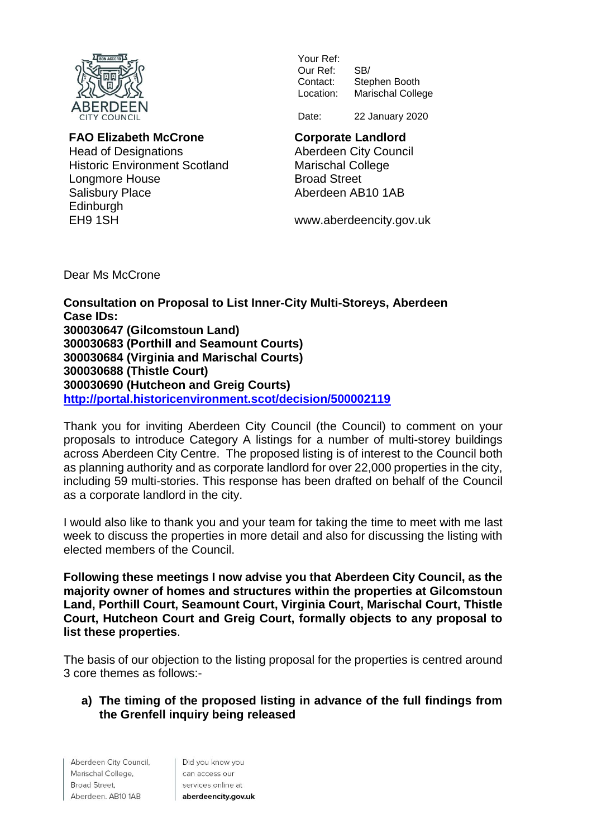

## **FAO Elizabeth McCrone**

Head of Designations Historic Environment Scotland Longmore House Salisbury Place Edinburgh EH9 1SH

Your Ref: Our Ref: SB/<br>Contact: Ster Contact: Stephen Booth<br>Location: Marischal Colle Marischal College

Date: 22 January 2020

# **Corporate Landlord**

Aberdeen City Council Marischal College Broad Street Aberdeen AB10 1AB

www.aberdeencity.gov.uk

Dear Ms McCrone

**Consultation on Proposal to List Inner-City Multi-Storeys, Aberdeen Case IDs: (Gilcomstoun Land) (Porthill and Seamount Courts) (Virginia and Marischal Courts) (Thistle Court) (Hutcheon and Greig Courts) <http://portal.historicenvironment.scot/decision/500002119>**

Thank you for inviting Aberdeen City Council (the Council) to comment on your proposals to introduce Category A listings for a number of multi-storey buildings across Aberdeen City Centre. The proposed listing is of interest to the Council both as planning authority and as corporate landlord for over 22,000 properties in the city, including 59 multi-stories. This response has been drafted on behalf of the Council as a corporate landlord in the city.

I would also like to thank you and your team for taking the time to meet with me last week to discuss the properties in more detail and also for discussing the listing with elected members of the Council.

**Following these meetings I now advise you that Aberdeen City Council, as the majority owner of homes and structures within the properties at Gilcomstoun Land, Porthill Court, Seamount Court, Virginia Court, Marischal Court, Thistle Court, Hutcheon Court and Greig Court, formally objects to any proposal to list these properties**.

The basis of our objection to the listing proposal for the properties is centred around 3 core themes as follows:-

## **a) The timing of the proposed listing in advance of the full findings from the Grenfell inquiry being released**

Aberdeen City Council, Marischal College, Broad Street, Aberdeen. AB10 1AB

Did you know you can access our services online at aberdeencity.gov.uk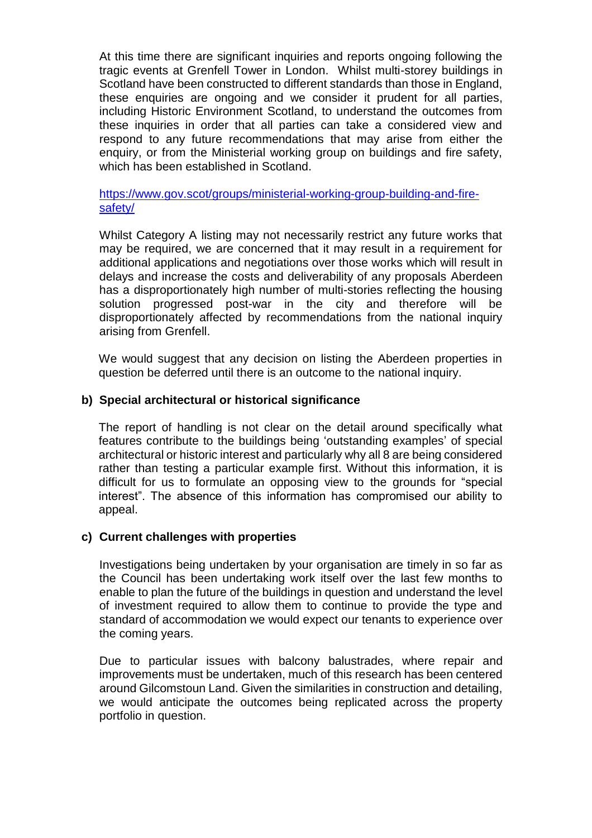At this time there are significant inquiries and reports ongoing following the tragic events at Grenfell Tower in London. Whilst multi-storey buildings in Scotland have been constructed to different standards than those in England, these enquiries are ongoing and we consider it prudent for all parties, including Historic Environment Scotland, to understand the outcomes from these inquiries in order that all parties can take a considered view and respond to any future recommendations that may arise from either the enquiry, or from the Ministerial working group on buildings and fire safety, which has been established in Scotland.

[https://www.gov.scot/groups/ministerial-working-group-building-and-fire](https://www.gov.scot/groups/ministerial-working-group-building-and-fire-safety/)[safety/](https://www.gov.scot/groups/ministerial-working-group-building-and-fire-safety/)

Whilst Category A listing may not necessarily restrict any future works that may be required, we are concerned that it may result in a requirement for additional applications and negotiations over those works which will result in delays and increase the costs and deliverability of any proposals Aberdeen has a disproportionately high number of multi-stories reflecting the housing solution progressed post-war in the city and therefore will be disproportionately affected by recommendations from the national inquiry arising from Grenfell.

We would suggest that any decision on listing the Aberdeen properties in question be deferred until there is an outcome to the national inquiry.

## **b) Special architectural or historical significance**

The report of handling is not clear on the detail around specifically what features contribute to the buildings being 'outstanding examples' of special architectural or historic interest and particularly why all 8 are being considered rather than testing a particular example first. Without this information, it is difficult for us to formulate an opposing view to the grounds for "special interest". The absence of this information has compromised our ability to appeal.

## **c) Current challenges with properties**

Investigations being undertaken by your organisation are timely in so far as the Council has been undertaking work itself over the last few months to enable to plan the future of the buildings in question and understand the level of investment required to allow them to continue to provide the type and standard of accommodation we would expect our tenants to experience over the coming years.

Due to particular issues with balcony balustrades, where repair and improvements must be undertaken, much of this research has been centered around Gilcomstoun Land. Given the similarities in construction and detailing, we would anticipate the outcomes being replicated across the property portfolio in question.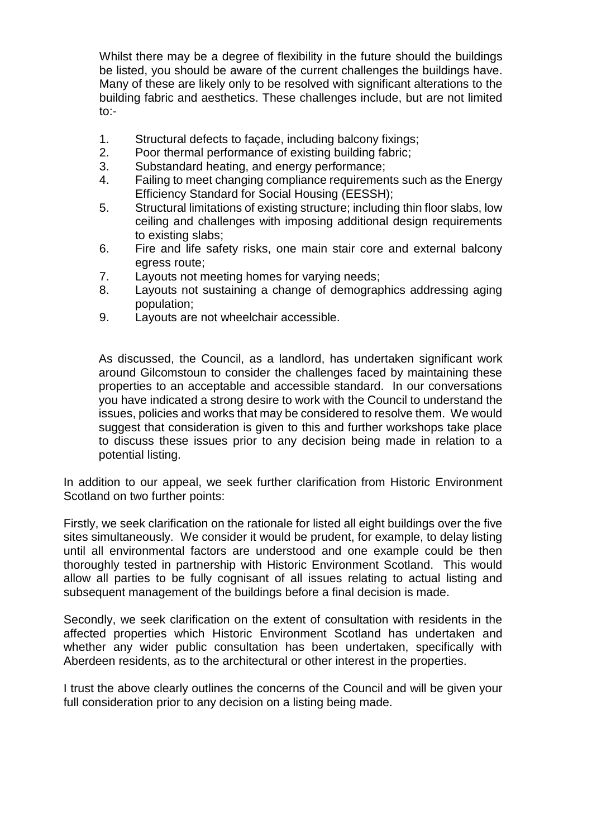Whilst there may be a degree of flexibility in the future should the buildings be listed, you should be aware of the current challenges the buildings have. Many of these are likely only to be resolved with significant alterations to the building fabric and aesthetics. These challenges include, but are not limited to:-

- 1. Structural defects to façade, including balcony fixings;
- 2. Poor thermal performance of existing building fabric;
- 3. Substandard heating, and energy performance;
- 4. Failing to meet changing compliance requirements such as the Energy Efficiency Standard for Social Housing (EESSH);
- 5. Structural limitations of existing structure; including thin floor slabs, low ceiling and challenges with imposing additional design requirements to existing slabs;
- 6. Fire and life safety risks, one main stair core and external balcony egress route;
- 7. Layouts not meeting homes for varying needs;
- 8. Layouts not sustaining a change of demographics addressing aging population;
- 9. Layouts are not wheelchair accessible.

As discussed, the Council, as a landlord, has undertaken significant work around Gilcomstoun to consider the challenges faced by maintaining these properties to an acceptable and accessible standard. In our conversations you have indicated a strong desire to work with the Council to understand the issues, policies and works that may be considered to resolve them. We would suggest that consideration is given to this and further workshops take place to discuss these issues prior to any decision being made in relation to a potential listing.

In addition to our appeal, we seek further clarification from Historic Environment Scotland on two further points:

Firstly, we seek clarification on the rationale for listed all eight buildings over the five sites simultaneously. We consider it would be prudent, for example, to delay listing until all environmental factors are understood and one example could be then thoroughly tested in partnership with Historic Environment Scotland. This would allow all parties to be fully cognisant of all issues relating to actual listing and subsequent management of the buildings before a final decision is made.

Secondly, we seek clarification on the extent of consultation with residents in the affected properties which Historic Environment Scotland has undertaken and whether any wider public consultation has been undertaken, specifically with Aberdeen residents, as to the architectural or other interest in the properties.

I trust the above clearly outlines the concerns of the Council and will be given your full consideration prior to any decision on a listing being made.